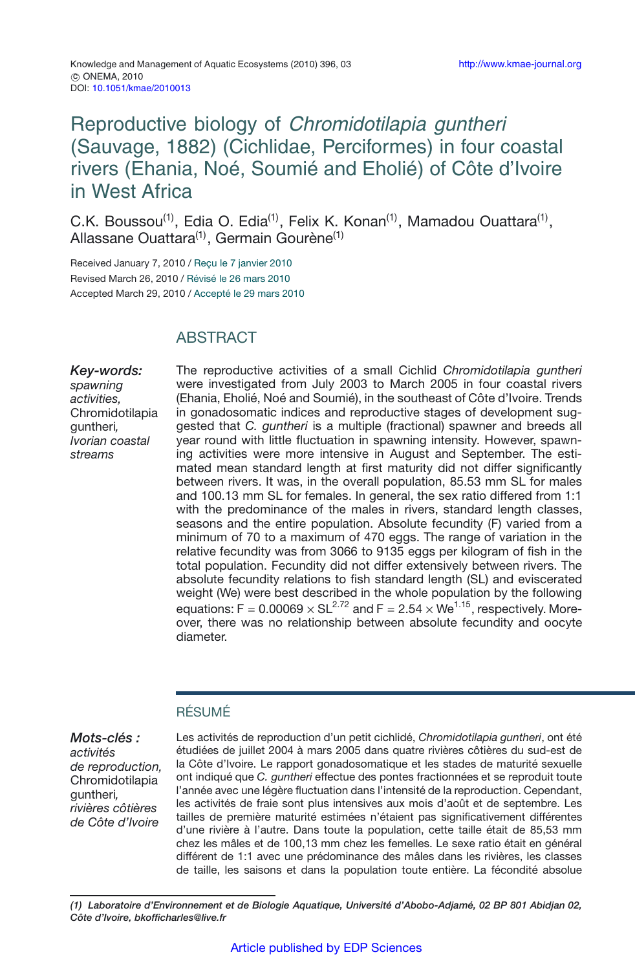# Reproductive biology of Chromidotilapia guntheri (Sauvage, 1882) (Cichlidae, Perciformes) in four coastal rivers (Ehania, Noé, Soumié and Eholié) of Côte d'Ivoire in West Africa

C.K. Boussou<sup>(1)</sup>, Edia O. Edia<sup>(1)</sup>, Felix K. Konan<sup>(1)</sup>, Mamadou Ouattara<sup>(1)</sup>, Allassane Ouattara<sup>(1)</sup>, Germain Gourène<sup>(1)</sup>

Received January 7, 2010 / Reçu le 7 janvier 2010 Revised March 26, 2010 / Révisé le 26 mars 2010 Accepted March 29, 2010 / Accepté le 29 mars 2010

## **ABSTRACT**

*Key-words: spawning activities,* Chromidotilapia guntheri*, Ivorian coastal streams*

The reproductive activities of a small Cichlid *Chromidotilapia guntheri* were investigated from July 2003 to March 2005 in four coastal rivers (Ehania, Eholié, Noé and Soumié), in the southeast of Côte d'Ivoire. Trends in gonadosomatic indices and reproductive stages of development suggested that *C. guntheri* is a multiple (fractional) spawner and breeds all year round with little fluctuation in spawning intensity. However, spawning activities were more intensive in August and September. The estimated mean standard length at first maturity did not differ significantly between rivers. It was, in the overall population, 85.53 mm SL for males and 100.13 mm SL for females. In general, the sex ratio differed from 1:1 with the predominance of the males in rivers, standard length classes, seasons and the entire population. Absolute fecundity (F) varied from a minimum of 70 to a maximum of 470 eggs. The range of variation in the relative fecundity was from 3066 to 9135 eggs per kilogram of fish in the total population. Fecundity did not differ extensively between rivers. The absolute fecundity relations to fish standard length (SL) and eviscerated weight (We) were best described in the whole population by the following equations:  $F = 0.00069 \times SL^{2.72}$  and  $F = 2.54 \times We^{1.15}$ , respectively. Moreover, there was no relationship between absolute fecundity and oocyte diameter.

## RÉSUMÉ

*Mots-clés : activités de reproduction,* Chromidotilapia guntheri*, rivières côtières de Côte d'Ivoire*

Les activités de reproduction d'un petit cichlidé, *Chromidotilapia guntheri*, ont été étudiées de juillet 2004 à mars 2005 dans quatre rivières côtières du sud-est de la Côte d'Ivoire. Le rapport gonadosomatique et les stades de maturité sexuelle ont indiqué que *C. guntheri* effectue des pontes fractionnées et se reproduit toute l'année avec une légère fluctuation dans l'intensité de la reproduction. Cependant, les activités de fraie sont plus intensives aux mois d'août et de septembre. Les tailles de première maturité estimées n'étaient pas significativement différentes d'une rivière à l'autre. Dans toute la population, cette taille était de 85,53 mm chez les mâles et de 100,13 mm chez les femelles. Le sexe ratio était en général différent de 1:1 avec une prédominance des mâles dans les rivières, les classes de taille, les saisons et dans la population toute entière. La fécondité absolue

*(1) Laboratoire d'Environnement et de Biologie Aquatique, Université d'Abobo-Adjamé, 02 BP 801 Abidjan 02, Côte d'Ivoire, bkofficharles@live.fr*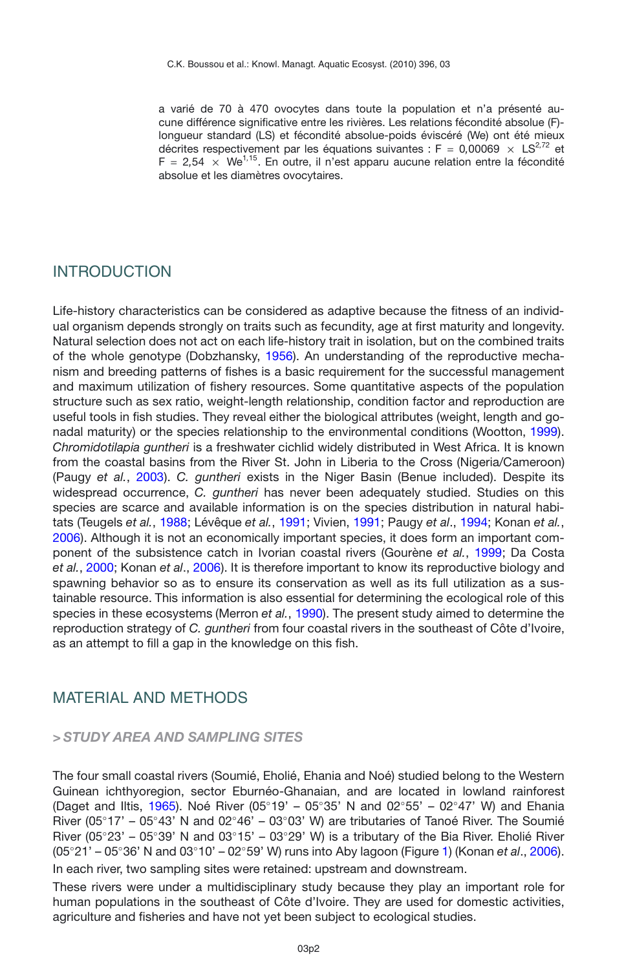a varié de 70 à 470 ovocytes dans toute la population et n'a présenté aucune différence significative entre les rivières. Les relations fécondité absolue (F) longueur standard (LS) et fécondité absolue-poids éviscéré (We) ont été mieux décrites respectivement par les équations suivantes : F =  $0.00069 \times LS^{2,72}$  et  $F = 2.54 \times We^{1.15}$ . En outre, il n'est apparu aucune relation entre la fécondité absolue et les diamètres ovocytaires.

### INTRODUCTION

Life-history characteristics can be considered as adaptive because the fitness of an individual organism depends strongly on traits such as fecundity, age at first maturity and longevity. Natural selection does not act on each life-history trait in isolation, but on the combined traits of the whole genotype (Dobzhansky, [1956](#page-13-0)). An understanding of the reproductive mechanism and breeding patterns of fishes is a basic requirement for the successful management and maximum utilization of fishery resources. Some quantitative aspects of the population structure such as sex ratio, weight-length relationship, condition factor and reproduction are useful tools in fish studies. They reveal either the biological attributes (weight, length and gonadal maturity) or the species relationship to the environmental conditions (Wootton, [1999](#page-15-0)). *Chromidotilapia guntheri* is a freshwater cichlid widely distributed in West Africa. It is known from the coastal basins from the River St. John in Liberia to the Cross (Nigeria/Cameroon) (Paugy *et al.*, [2003\)](#page-14-0). *C. guntheri* exists in the Niger Basin (Benue included). Despite its widespread occurrence, *C. guntheri* has never been adequately studied. Studies on this species are scarce and available information is on the species distribution in natural habitats (Teugels *et al.*, [1988](#page-15-1); Lévêque *et al.*, [1991](#page-14-1); Vivien, [1991;](#page-15-2) Paugy *et al*., [1994;](#page-14-2) Konan *et al.*, [2006\)](#page-14-3). Although it is not an economically important species, it does form an important component of the subsistence catch in Ivorian coastal rivers (Gourène *et al.*, [1999](#page-14-4); Da Costa *et al.*, [2000](#page-13-1); Konan *et al*., [2006](#page-14-3)). It is therefore important to know its reproductive biology and spawning behavior so as to ensure its conservation as well as its full utilization as a sustainable resource. This information is also essential for determining the ecological role of this species in these ecosystems (Merron *et al.*, [1990](#page-14-5)). The present study aimed to determine the reproduction strategy of *C. guntheri* from four coastal rivers in the southeast of Côte d'Ivoire, as an attempt to fill a gap in the knowledge on this fish.

### MATERIAL AND METHODS

#### *> STUDY AREA AND SAMPLING SITES*

The four small coastal rivers (Soumié, Eholié, Ehania and Noé) studied belong to the Western Guinean ichthyoregion, sector Eburnéo-Ghanaian, and are located in lowland rainforest (Daget and Iltis, [1965](#page-13-2)). Noé River (05◦19' – 05◦35' N and 02◦55' – 02◦47' W) and Ehania River (05◦17' – 05◦43' N and 02◦46' – 03◦03' W) are tributaries of Tanoé River. The Soumié River (05◦23' – 05◦39' N and 03◦15' – 03◦29' W) is a tributary of the Bia River. Eholié River (05◦21' – 05◦36' N and 03◦10' – 02◦59' W) runs into Aby lagoon (Figure [1\)](#page-2-0) (Konan *et al*., [2006](#page-14-3)). In each river, two sampling sites were retained: upstream and downstream.

These rivers were under a multidisciplinary study because they play an important role for human populations in the southeast of Côte d'Ivoire. They are used for domestic activities, agriculture and fisheries and have not yet been subject to ecological studies.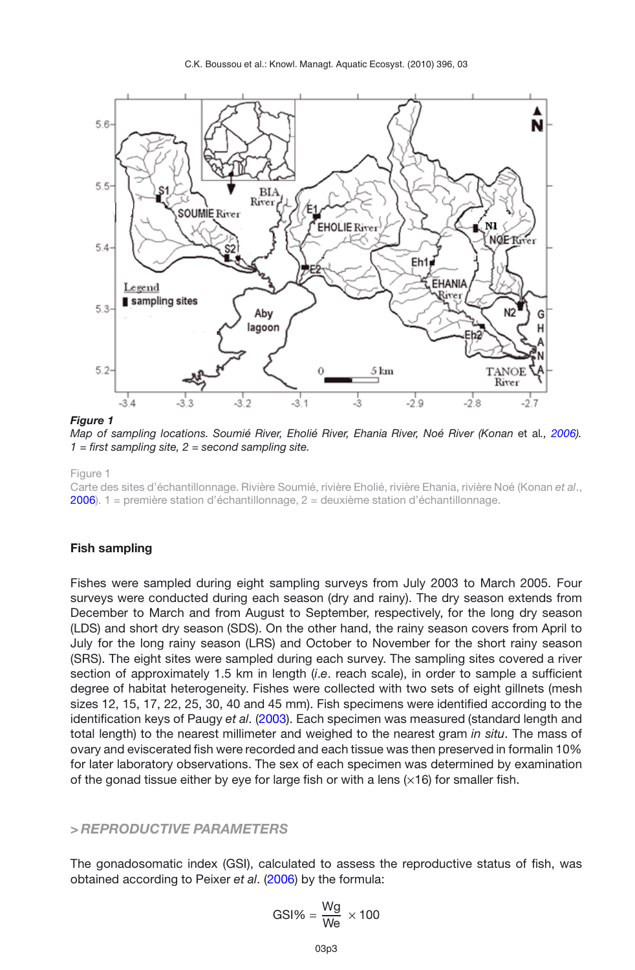<span id="page-2-0"></span>

*Map of sampling locations. Soumié River, Eholié River, Ehania River, Noé River (Konan* et al*., [2006\)](#page-14-3). 1 = first sampling site, 2 = second sampling site.*

Figure 1

Carte des sites d'échantillonnage. Rivière Soumié, rivière Eholié, rivière Ehania, rivière Noé (Konan *et al*., **2006**). 1 = première station d'échantillonnage,  $2 =$  deuxième station d'échantillonnage.

#### **Fish sampling**

Fishes were sampled during eight sampling surveys from July 2003 to March 2005. Four surveys were conducted during each season (dry and rainy). The dry season extends from December to March and from August to September, respectively, for the long dry season (LDS) and short dry season (SDS). On the other hand, the rainy season covers from April to July for the long rainy season (LRS) and October to November for the short rainy season (SRS). The eight sites were sampled during each survey. The sampling sites covered a river section of approximately 1.5 km in length *(i.e.* reach scale), in order to sample a sufficient degree of habitat heterogeneity. Fishes were collected with two sets of eight gillnets (mesh sizes 12, 15, 17, 22, 25, 30, 40 and 45 mm). Fish specimens were identified according to the identification keys of Paugy *et al*. [\(2003](#page-14-0)). Each specimen was measured (standard length and total length) to the nearest millimeter and weighed to the nearest gram *in situ*. The mass of ovary and eviscerated fish were recorded and each tissue was then preserved in formalin 10% for later laboratory observations. The sex of each specimen was determined by examination of the gonad tissue either by eye for large fish or with a lens  $(\times 16)$  for smaller fish.

#### *> REPRODUCTIVE PARAMETERS*

The gonadosomatic index (GSI), calculated to assess the reproductive status of fish, was obtained according to Peixer *et al*. [\(2006\)](#page-15-3) by the formula:

$$
GSI\% = \frac{Wg}{We} \times 100
$$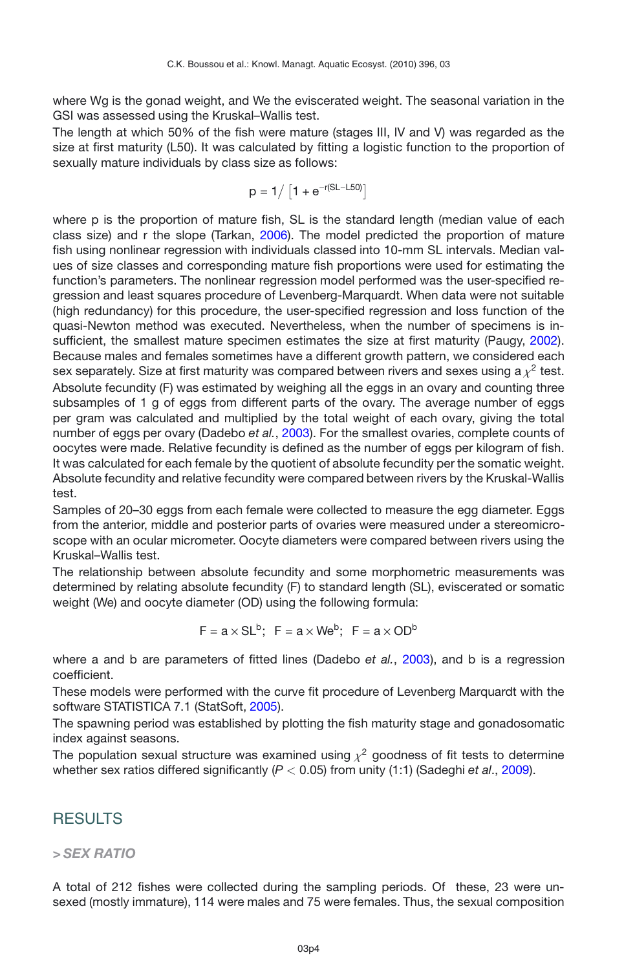where Wg is the gonad weight, and We the eviscerated weight. The seasonal variation in the GSI was assessed using the Kruskal–Wallis test.

The length at which 50% of the fish were mature (stages III, IV and V) was regarded as the size at first maturity (L50). It was calculated by fitting a logistic function to the proportion of sexually mature individuals by class size as follows:

$$
p = 1 / [1 + e^{-r(SL - L50)}]
$$

where p is the proportion of mature fish, SL is the standard length (median value of each class size) and r the slope (Tarkan, [2006\)](#page-15-4). The model predicted the proportion of mature fish using nonlinear regression with individuals classed into 10-mm SL intervals. Median values of size classes and corresponding mature fish proportions were used for estimating the function's parameters. The nonlinear regression model performed was the user-specified regression and least squares procedure of Levenberg-Marquardt. When data were not suitable (high redundancy) for this procedure, the user-specified regression and loss function of the quasi-Newton method was executed. Nevertheless, when the number of specimens is insufficient, the smallest mature specimen estimates the size at first maturity (Paugy, [2002](#page-14-6)). Because males and females sometimes have a different growth pattern, we considered each sex separately. Size at first maturity was compared between rivers and sexes using a  $\chi^2$  test. Absolute fecundity (F) was estimated by weighing all the eggs in an ovary and counting three subsamples of 1 g of eggs from different parts of the ovary. The average number of eggs per gram was calculated and multiplied by the total weight of each ovary, giving the total number of eggs per ovary (Dadebo *et al.*, [2003\)](#page-13-3). For the smallest ovaries, complete counts of oocytes were made. Relative fecundity is defined as the number of eggs per kilogram of fish. It was calculated for each female by the quotient of absolute fecundity per the somatic weight. Absolute fecundity and relative fecundity were compared between rivers by the Kruskal-Wallis test.

Samples of 20–30 eggs from each female were collected to measure the egg diameter. Eggs from the anterior, middle and posterior parts of ovaries were measured under a stereomicroscope with an ocular micrometer. Oocyte diameters were compared between rivers using the Kruskal–Wallis test.

The relationship between absolute fecundity and some morphometric measurements was determined by relating absolute fecundity (F) to standard length (SL), eviscerated or somatic weight (We) and oocyte diameter (OD) using the following formula:

 $F = a \times SL^b$ ;  $F = a \times We^b$ ;  $F = a \times OD^b$ 

where a and b are parameters of fitted lines (Dadebo *et al.*, [2003\)](#page-13-3), and b is a regression coefficient.

These models were performed with the curve fit procedure of Levenberg Marquardt with the software STATISTICA 7.1 (StatSoft, [2005\)](#page-15-5).

The spawning period was established by plotting the fish maturity stage and gonadosomatic index against seasons.

The population sexual structure was examined using  $\chi^2$  goodness of fit tests to determine whether sex ratios differed significantly (*P <* 0.05) from unity (1:1) (Sadeghi *et al*., [2009](#page-15-6)).

## RESULTS

### *> SEX RATIO*

A total of 212 fishes were collected during the sampling periods. Of these, 23 were unsexed (mostly immature), 114 were males and 75 were females. Thus, the sexual composition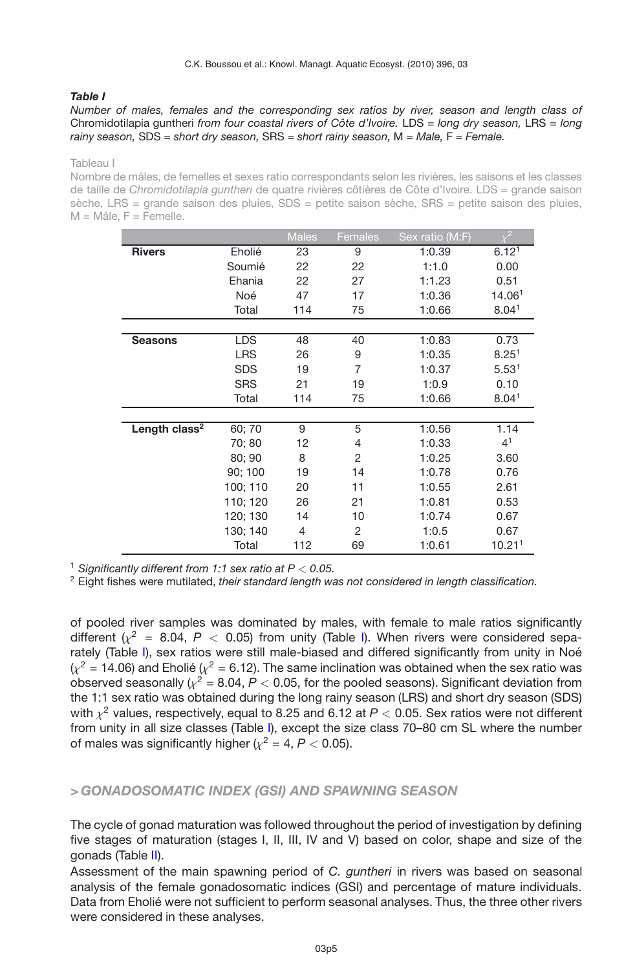#### <span id="page-4-0"></span>*Table I*

#### *Number of males, females and the corresponding sex ratios by river, season and length class of* Chromidotilapia guntheri *from four coastal rivers of Côte d'Ivoire.* LDS *= long dry season,* LRS *= long rainy season,* SDS *= short dry season,* SRS *= short rainy season,* M *= Male,* F *= Female.*

Tableau I

Nombre de mâles, de femelles et sexes ratio correspondants selon les rivières, les saisons et les classes de taille de *Chromidotilapia guntheri* de quatre rivières côtières de Côte d'Ivoire. LDS = grande saison sèche, LRS = grande saison des pluies, SDS = petite saison sèche, SRS = petite saison des pluies,  $M =$  Mâle,  $F =$  Femelle.

|                           |            | <b>Males</b> | Females        | Sex ratio (M:F) | $\sqrt{2}$         |
|---------------------------|------------|--------------|----------------|-----------------|--------------------|
| <b>Rivers</b>             | Eholié     | 23           | 9              | 1:0.39          | 6.12 <sup>1</sup>  |
|                           | Soumié     | 22           | 22             | 1:1.0           | 0.00               |
|                           | Ehania     | 22           | 27             | 1:1.23          | 0.51               |
|                           | Noé        | 47           | 17             | 1:0.36          | 14.061             |
|                           | Total      | 114          | 75             | 1:0.66          | 8.04 <sup>1</sup>  |
|                           |            |              |                |                 |                    |
| <b>Seasons</b>            | LDS        | 48           | 40             | 1:0.83          | 0.73               |
|                           | <b>LRS</b> | 26           | 9              | 1:0.35          | 8.25 <sup>1</sup>  |
|                           | <b>SDS</b> | 19           | $\overline{7}$ | 1:0.37          | 5.53 <sup>1</sup>  |
|                           | <b>SRS</b> | 21           | 19             | 1:0.9           | 0.10               |
|                           | Total      | 114          | 75             | 1:0.66          | 8.04 <sup>1</sup>  |
|                           |            |              |                |                 |                    |
| Length class <sup>2</sup> | 60;70      | 9            | 5              | 1:0.56          | 1.14               |
|                           | 70:80      | 12           | 4              | 1:0.33          | $4^{1}$            |
|                           | 80; 90     | 8            | 2              | 1:0.25          | 3.60               |
|                           | 90; 100    | 19           | 14             | 1:0.78          | 0.76               |
|                           | 100; 110   | 20           | 11             | 1:0.55          | 2.61               |
|                           | 110: 120   | 26           | 21             | 1:0.81          | 0.53               |
|                           | 120; 130   | 14           | 10             | 1:0.74          | 0.67               |
|                           | 130; 140   | 4            | 2              | 1:0.5           | 0.67               |
|                           | Total      | 112          | 69             | 1:0.61          | 10.21 <sup>1</sup> |

<sup>1</sup> *Significantly different from 1:1 sex ratio at P < 0.05.*

<sup>2</sup> Eight fishes were mutilated, *their standard length was not considered in length classification.*

of pooled river samples was dominated by males, with female to male ratios significantly different  $(x^2 = 8.04, P < 0.05)$  from unity (Table [I\)](#page-4-0). When rivers were considered separately (Table [I\)](#page-4-0), sex ratios were still male-biased and differed significantly from unity in Noé  $(x^2 = 14.06)$  and Eholié  $(x^2 = 6.12)$ . The same inclination was obtained when the sex ratio was observed seasonally  $\left(\chi^2 = 8.04, P < 0.05\right)$ , for the pooled seasons). Significant deviation from the 1:1 sex ratio was obtained during the long rainy season (LRS) and short dry season (SDS) with  $\chi^2$  values, respectively, equal to 8.25 and 6.12 at  $P < 0.05$ . Sex ratios were not different from unity in all size classes (Table [I\)](#page-4-0), except the size class 70–80 cm SL where the number of males was significantly higher  $(x^2 = 4, P < 0.05)$ .

#### *> GONADOSOMATIC INDEX (GSI) AND SPAWNING SEASON*

The cycle of gonad maturation was followed throughout the period of investigation by defining five stages of maturation (stages I, II, III, IV and V) based on color, shape and size of the gonads (Table [II\)](#page-5-0).

Assessment of the main spawning period of *C. guntheri* in rivers was based on seasonal analysis of the female gonadosomatic indices (GSI) and percentage of mature individuals. Data from Eholié were not sufficient to perform seasonal analyses. Thus, the three other rivers were considered in these analyses.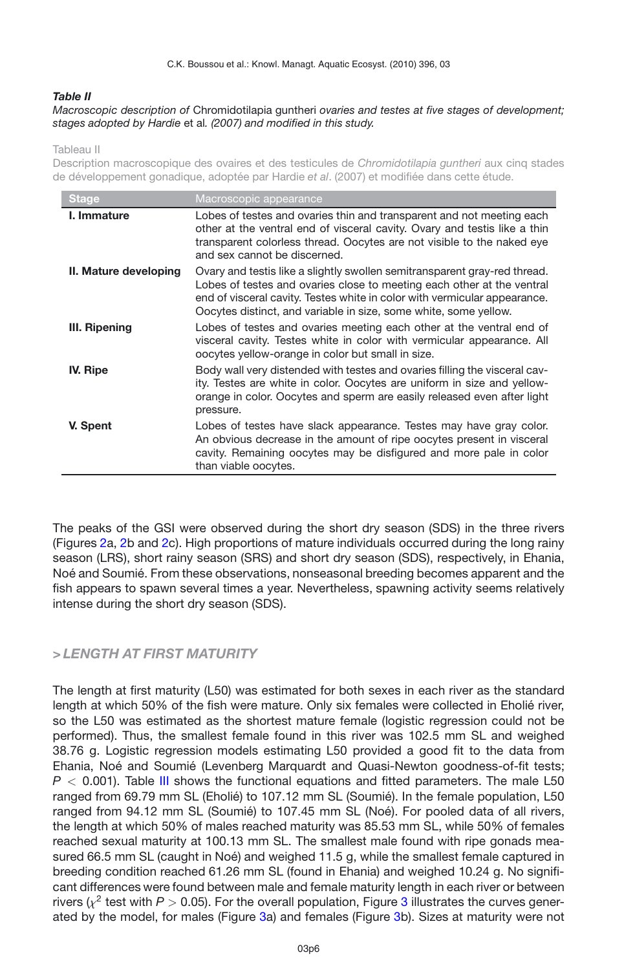#### <span id="page-5-0"></span>*Table II*

#### *Macroscopic description of* Chromidotilapia guntheri *ovaries and testes at five stages of development; stages adopted by Hardie* et al*. (2007) and modified in this study.*

Tableau II

Description macroscopique des ovaires et des testicules de *Chromidotilapia guntheri* aux cinq stades de développement gonadique, adoptée par Hardie *et al*. (2007) et modifiée dans cette étude.

| <b>Stage</b>          | Macroscopic appearance                                                                                                                                                                                                                                                                               |
|-----------------------|------------------------------------------------------------------------------------------------------------------------------------------------------------------------------------------------------------------------------------------------------------------------------------------------------|
| I. Immature           | Lobes of testes and ovaries thin and transparent and not meeting each<br>other at the ventral end of visceral cavity. Ovary and testis like a thin<br>transparent colorless thread. Oocytes are not visible to the naked eye<br>and sex cannot be discerned.                                         |
| II. Mature developing | Ovary and testis like a slightly swollen semitransparent gray-red thread.<br>Lobes of testes and ovaries close to meeting each other at the ventral<br>end of visceral cavity. Testes white in color with vermicular appearance.<br>Oocytes distinct, and variable in size, some white, some yellow. |
| III. Ripening         | Lobes of testes and ovaries meeting each other at the ventral end of<br>visceral cavity. Testes white in color with vermicular appearance. All<br>oocytes yellow-orange in color but small in size.                                                                                                  |
| <b>IV. Ripe</b>       | Body wall very distended with testes and ovaries filling the visceral cav-<br>ity. Testes are white in color. Oocytes are uniform in size and yellow-<br>orange in color. Oocytes and sperm are easily released even after light<br>pressure.                                                        |
| V. Spent              | Lobes of testes have slack appearance. Testes may have gray color.<br>An obvious decrease in the amount of ripe oocytes present in visceral<br>cavity. Remaining oocytes may be disfigured and more pale in color<br>than viable oocytes.                                                            |

The peaks of the GSI were observed during the short dry season (SDS) in the three rivers (Figures [2a](#page-6-0), [2b](#page-6-0) and [2c](#page-6-0)). High proportions of mature individuals occurred during the long rainy season (LRS), short rainy season (SRS) and short dry season (SDS), respectively, in Ehania, Noé and Soumié. From these observations, nonseasonal breeding becomes apparent and the fish appears to spawn several times a year. Nevertheless, spawning activity seems relatively intense during the short dry season (SDS).

### *> LENGTH AT FIRST MATURITY*

The length at first maturity (L50) was estimated for both sexes in each river as the standard length at which 50% of the fish were mature. Only six females were collected in Eholié river, so the L50 was estimated as the shortest mature female (logistic regression could not be performed). Thus, the smallest female found in this river was 102.5 mm SL and weighed 38.76 g. Logistic regression models estimating L50 provided a good fit to the data from Ehania, Noé and Soumié (Levenberg Marquardt and Quasi-Newton goodness-of-fit tests; *P <* 0.001). Table [III](#page-7-0) shows the functional equations and fitted parameters. The male L50 ranged from 69.79 mm SL (Eholié) to 107.12 mm SL (Soumié). In the female population, L50 ranged from 94.12 mm SL (Soumié) to 107.45 mm SL (Noé). For pooled data of all rivers, the length at which 50% of males reached maturity was 85.53 mm SL, while 50% of females reached sexual maturity at 100.13 mm SL. The smallest male found with ripe gonads measured 66.5 mm SL (caught in Noé) and weighed 11.5 g, while the smallest female captured in breeding condition reached 61.26 mm SL (found in Ehania) and weighed 10.24 g. No significant differences were found between male and female maturity length in each river or between rivers ( $\chi^2$  test with  $P > 0.05$ ). For the overall population, Figure [3](#page-8-0) illustrates the curves generated by the model, for males (Figure [3a](#page-8-0)) and females (Figure [3b](#page-8-0)). Sizes at maturity were not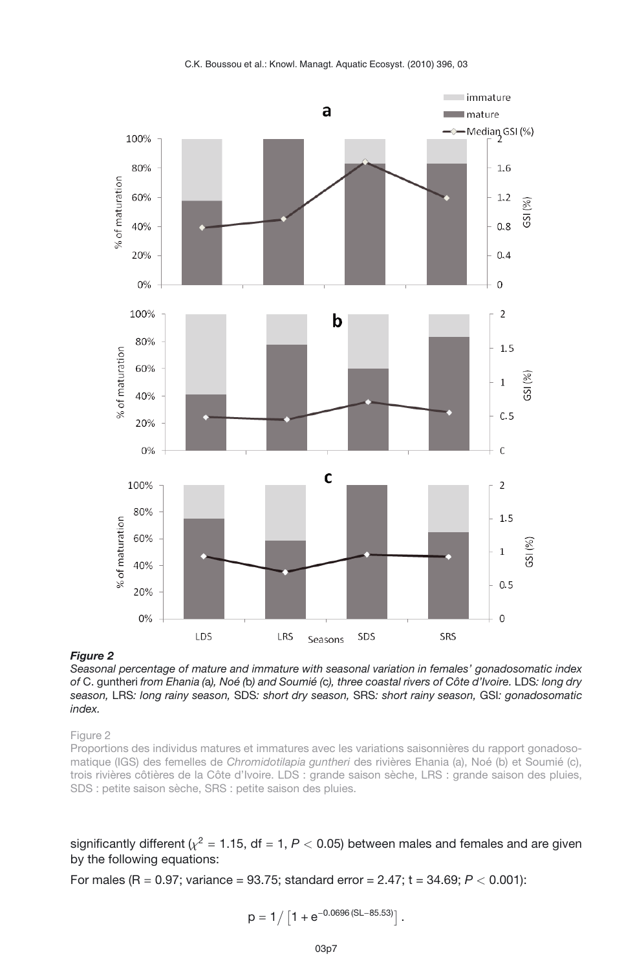

<span id="page-6-0"></span>*Seasonal percentage of mature and immature with seasonal variation in females' gonadosomatic index of* C. guntheri *from Ehania (*a*), Noé (*b*) and Soumié (*c*), three coastal rivers of Côte d'Ivoire.* LDS*: long dry season,* LRS*: long rainy season,* SDS*: short dry season,* SRS*: short rainy season,* GSI*: gonadosomatic index.*

#### Figure 2

Proportions des individus matures et immatures avec les variations saisonnières du rapport gonadosomatique (IGS) des femelles de *Chromidotilapia guntheri* des rivières Ehania (a), Noé (b) et Soumié (c), trois rivières côtières de la Côte d'Ivoire. LDS : grande saison sèche, LRS : grande saison des pluies, SDS : petite saison sèche, SRS : petite saison des pluies.

significantly different ( $\chi^2$  = 1.15, df = 1,  $P$  < 0.05) between males and females and are given by the following equations:

For males (R = 0.97; variance = 93.75; standard error = 2.47; t = 34.69; *P <* 0.001):

$$
p=1/\left[1+e^{-0.0696(SL-85.53)}\right].
$$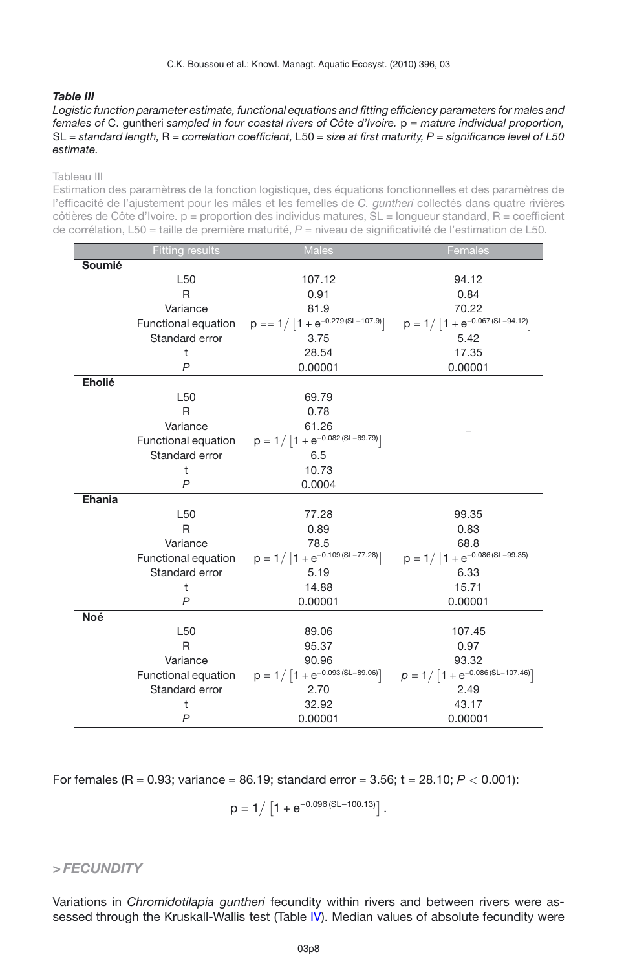#### <span id="page-7-0"></span>*Table III*

*Logistic function parameter estimate, functional equations and fitting efficiency parameters for males and females of* C. guntheri *sampled in four coastal rivers of Côte d'Ivoire.* p *= mature individual proportion,* SL *= standard length,* R *= correlation coefficient,* L50 *= size at first maturity, P = significance level of L50 estimate.*

#### Tableau III

Estimation des paramètres de la fonction logistique, des équations fonctionnelles et des paramètres de l'efficacité de l'ajustement pour les mâles et les femelles de *C. guntheri* collectés dans quatre rivières  $c^{\text{obt}}$ ères de Côte d'Ivoire.  $p =$  proportion des individus matures,  $SL =$  longueur standard,  $R =$  coefficient de corrélation, L50 = taille de première maturité, *P* = niveau de significativité de l'estimation de L50.

|            | <b>Fitting results</b> | <b>Males</b>                                               | Females                                |
|------------|------------------------|------------------------------------------------------------|----------------------------------------|
| Soumié     |                        |                                                            |                                        |
|            | L <sub>50</sub>        | 107.12                                                     | 94.12                                  |
|            | R                      | 0.91                                                       | 0.84                                   |
|            | Variance               | 81.9                                                       | 70.22                                  |
|            |                        | Functional equation $p == 1/[1 + e^{-0.279(SL-107.9)}]$    | $p = 1 / [1 + e^{-0.067(SL - 94.12)}]$ |
|            | Standard error         | 3.75                                                       | 5.42                                   |
|            | ŧ                      | 28.54                                                      | 17.35                                  |
|            | $\mathsf{P}$           | 0.00001                                                    | 0.00001                                |
| Eholié     |                        |                                                            |                                        |
|            | L <sub>50</sub>        | 69.79                                                      |                                        |
|            | R                      | 0.78                                                       |                                        |
|            | Variance               | 61.26                                                      |                                        |
|            |                        | Functional equation $p = 1 / [1 + e^{-0.082(SL - 69.79)}]$ |                                        |
|            | Standard error         | 6.5                                                        |                                        |
|            | t                      | 10.73                                                      |                                        |
|            | $\mathsf{P}$           | 0.0004                                                     |                                        |
| Ehania     |                        |                                                            |                                        |
|            | L <sub>50</sub>        | 77.28                                                      | 99.35                                  |
|            | R                      | 0.89                                                       | 0.83                                   |
|            | Variance               | 78.5                                                       | 68.8                                   |
|            | Functional equation    | $p = 1 / [1 + e^{-0.109(SL - 77.28)}]$                     | $p = 1 / [1 + e^{-0.086(SL - 99.35)}]$ |
|            | Standard error         | 5.19                                                       | 6.33                                   |
|            | t                      | 14.88                                                      | 15.71                                  |
|            | $\mathsf{P}$           | 0.00001                                                    | 0.00001                                |
| <b>Noé</b> |                        |                                                            |                                        |
|            | L <sub>50</sub>        | 89.06                                                      | 107.45                                 |
|            | R                      | 95.37                                                      | 0.97                                   |
|            | Variance               | 90.96                                                      | 93.32                                  |
|            | Functional equation    | $p = 1 / [1 + e^{-0.093(SL - 89.06)}]$                     | $p = 1 / [1 + e^{-0.086(SL-107.46)}]$  |
|            | Standard error         | 2.70                                                       | 2.49                                   |
|            | t                      | 32.92                                                      | 43.17                                  |
|            | P                      | 0.00001                                                    | 0.00001                                |

For females (R = 0.93; variance = 86.19; standard error = 3.56; t = 28.10; *P <* 0.001):

$$
p = 1 / [1 + e^{-0.096(SL - 100.13)}].
$$

*> FECUNDITY*

Variations in *Chromidotilapia guntheri* fecundity within rivers and between rivers were as-sessed through the Kruskall-Wallis test (Table [IV\)](#page-9-0). Median values of absolute fecundity were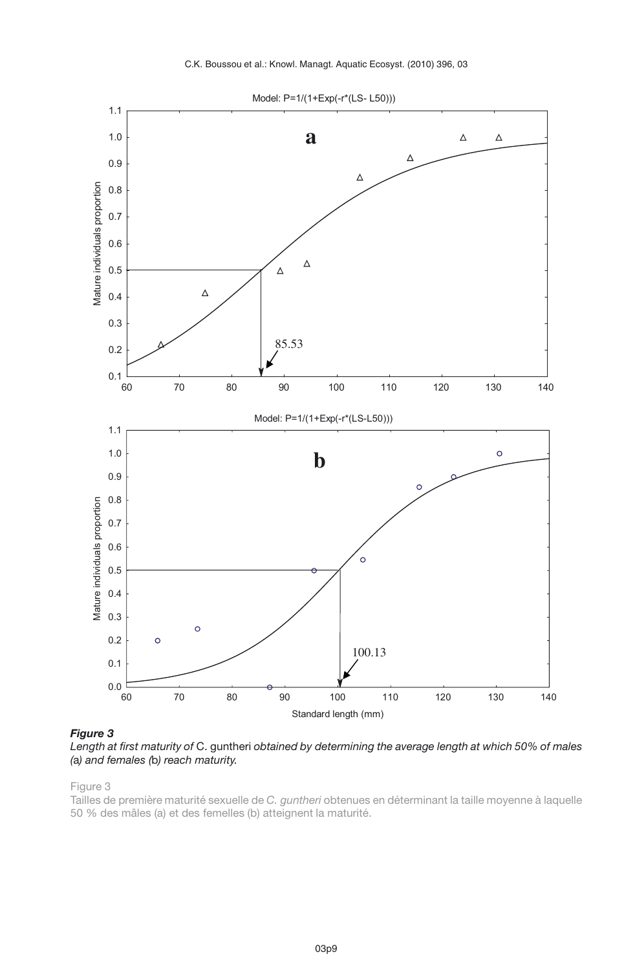

<span id="page-8-0"></span>*Figure 3*

*Length at first maturity of* C. guntheri *obtained by determining the average length at which 50% of males (*a*) and females (*b*) reach maturity.*

Tailles de première maturité sexuelle de *C. guntheri* obtenues en déterminant la taille moyenne à laquelle 50 % des mâles (a) et des femelles (b) atteignent la maturité.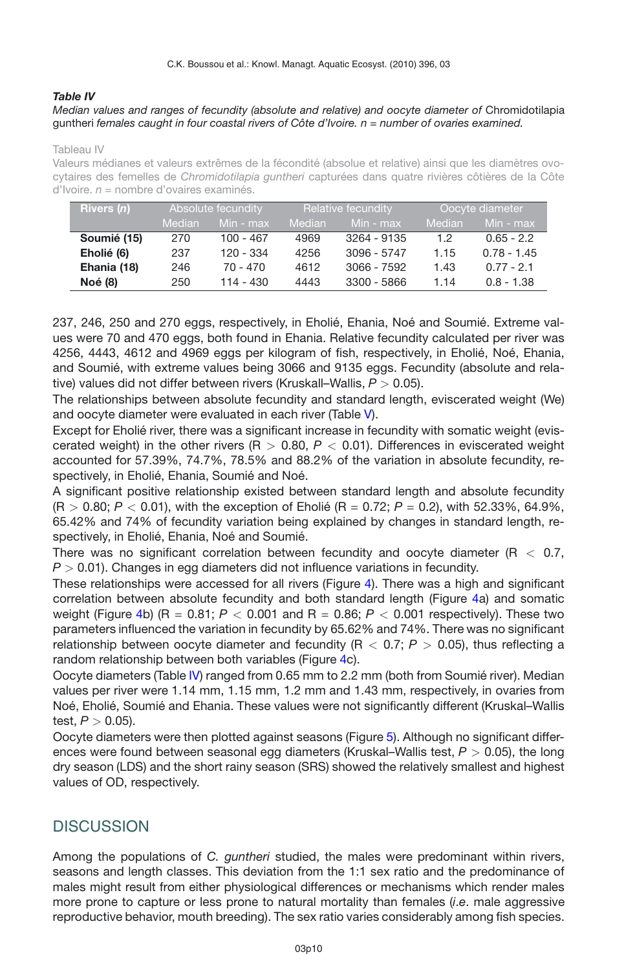#### <span id="page-9-0"></span>*Table IV*

*Median values and ranges of fecundity (absolute and relative) and oocyte diameter of* Chromidotilapia guntheri *females caught in four coastal rivers of Côte d'Ivoire. n = number of ovaries examined.*

#### Tableau IV

Valeurs médianes et valeurs extrêmes de la fécondité (absolue et relative) ainsi que les diamètres ovocytaires des femelles de *Chromidotilapia guntheri* capturées dans quatre rivières côtières de la Côte d'Ivoire. *n* = nombre d'ovaires examinés.

| <b>Rivers</b> (n) | Absolute fecundity |             | Relative fecundity |               | Oocyte diameter |               |
|-------------------|--------------------|-------------|--------------------|---------------|-----------------|---------------|
|                   | <b>Median</b>      | Min - max   | <b>Median</b>      | Min - max     | Median          | Min - max     |
| Soumié (15)       | 270                | $100 - 467$ | 4969               | 3264 - 9135   | 12              | $0.65 - 2.2$  |
| Eholié (6)        | 237                | 120 - 334   | 4256               | $3096 - 5747$ | 1.15            | $0.78 - 1.45$ |
| Ehania (18)       | 246                | $70 - 470$  | 4612               | $3066 - 7592$ | 1.43            | $0.77 - 2.1$  |
| <b>Noé (8)</b>    | 250                | $114 - 430$ | 4443               | 3300 - 5866   | 1.14            | $0.8 - 1.38$  |

237, 246, 250 and 270 eggs, respectively, in Eholié, Ehania, Noé and Soumié. Extreme values were 70 and 470 eggs, both found in Ehania. Relative fecundity calculated per river was 4256, 4443, 4612 and 4969 eggs per kilogram of fish, respectively, in Eholié, Noé, Ehania, and Soumié, with extreme values being 3066 and 9135 eggs. Fecundity (absolute and relative) values did not differ between rivers (Kruskall–Wallis, *P >* 0.05).

The relationships between absolute fecundity and standard length, eviscerated weight (We) and oocyte diameter were evaluated in each river (Table [V\)](#page-10-0).

Except for Eholié river, there was a significant increase in fecundity with somatic weight (eviscerated weight) in the other rivers (R *>* 0.80, *P <* 0.01). Differences in eviscerated weight accounted for 57.39%, 74.7%, 78.5% and 88.2% of the variation in absolute fecundity, respectively, in Eholié, Ehania, Soumié and Noé.

A significant positive relationship existed between standard length and absolute fecundity  $(R > 0.80; P < 0.01)$ , with the exception of Eholié  $(R = 0.72; P = 0.2)$ , with 52.33%, 64.9%, 65.42% and 74% of fecundity variation being explained by changes in standard length, respectively, in Eholié, Ehania, Noé and Soumié.

There was no significant correlation between fecundity and oocyte diameter (R *<* 0.7, *P >* 0.01). Changes in egg diameters did not influence variations in fecundity.

These relationships were accessed for all rivers (Figure [4\)](#page-11-0). There was a high and significant correlation between absolute fecundity and both standard length (Figure [4a](#page-11-0)) and somatic weight (Figure [4b](#page-11-0)) (R =  $0.81$ ;  $P < 0.001$  and R =  $0.86$ ;  $P < 0.001$  respectively). These two parameters influenced the variation in fecundity by 65.62% and 74%. There was no significant relationship between oocyte diameter and fecundity (R *<* 0.7; *P >* 0.05), thus reflecting a random relationship between both variables (Figure [4c](#page-11-0)).

Oocyte diameters (Table [IV\)](#page-9-0) ranged from 0.65 mm to 2.2 mm (both from Soumié river). Median values per river were 1.14 mm, 1.15 mm, 1.2 mm and 1.43 mm, respectively, in ovaries from Noé, Eholié, Soumié and Ehania. These values were not significantly different (Kruskal–Wallis test, *P >* 0.05).

Oocyte diameters were then plotted against seasons (Figure [5\)](#page-12-0). Although no significant differences were found between seasonal egg diameters (Kruskal–Wallis test, *P >* 0.05), the long dry season (LDS) and the short rainy season (SRS) showed the relatively smallest and highest values of OD, respectively.

## **DISCUSSION**

Among the populations of *C. guntheri* studied, the males were predominant within rivers, seasons and length classes. This deviation from the 1:1 sex ratio and the predominance of males might result from either physiological differences or mechanisms which render males more prone to capture or less prone to natural mortality than females (*i*.*e*. male aggressive reproductive behavior, mouth breeding). The sex ratio varies considerably among fish species.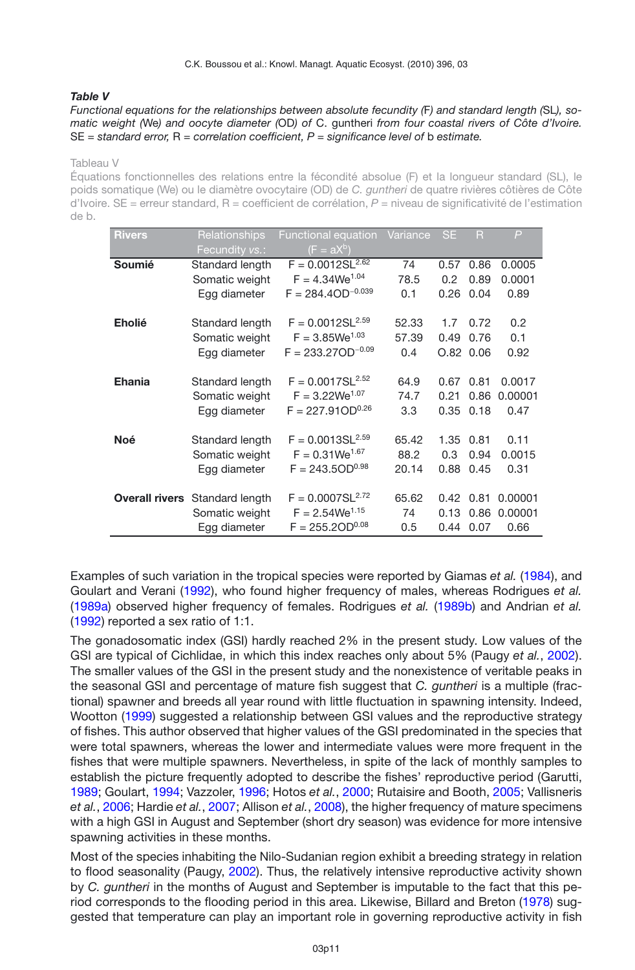### <span id="page-10-0"></span>*Table V*

#### *Functional equations for the relationships between absolute fecundity (*F*) and standard length (*SL*), somatic weight (*We*) and oocyte diameter (*OD*) of* C. guntheri *from four coastal rivers of Côte d'Ivoire.* SE *= standard error,* R *= correlation coefficient, P = significance level of* b *estimate.*

Tableau V

Équations fonctionnelles des relations entre la fécondité absolue (F) et la longueur standard (SL), le poids somatique (We) ou le diamètre ovocytaire (OD) de *C. guntheri* de quatre rivières côtières de Côte d'Ivoire. SE = erreur standard, R = coefficient de corrélation, *P* = niveau de significativité de l'estimation de b.

| <b>Rivers</b>         | Relationships<br>Fecundity vs.: | Functional equation<br>$(F = aX^b)$ | Variance | <b>SE</b> | $\overline{\mathsf{R}}$ | $\overline{P}$ |
|-----------------------|---------------------------------|-------------------------------------|----------|-----------|-------------------------|----------------|
| Soumié                | Standard length                 | $F = 0.0012S\overline{L^{2.62}}$    | 74       | 0.57      | 0.86                    | 0.0005         |
|                       | Somatic weight                  | $F = 4.34$ We <sup>1.04</sup>       | 78.5     | 0.2       | 0.89                    | 0.0001         |
|                       | Egg diameter                    | $F = 284.4OD^{-0.039}$              | 0.1      | 0.26      | 0.04                    | 0.89           |
| <b>Eholié</b>         | Standard length                 | $F = 0.0012 SL2.59$                 | 52.33    | 1.7       | 0.72                    | 0.2            |
|                       | Somatic weight                  | $F = 3.85$ We <sup>1.03</sup>       | 57.39    | 0.49      | 0.76                    | 0.1            |
|                       | Egg diameter                    | $F = 233.27OD^{-0.09}$              | 0.4      | O.82      | 0.06                    | 0.92           |
| <b>Ehania</b>         | Standard length                 | $F = 0.0017SL2.52$                  | 64.9     | 0.67      | 0.81                    | 0.0017         |
|                       | Somatic weight                  | $F = 3.22$ We <sup>1.07</sup>       | 74.7     | 0.21      | 0.86                    | 0.00001        |
|                       | Egg diameter                    | $F = 227.91OD^{0.26}$               | 3.3      | 0.35      | 0.18                    | 0.47           |
| <b>Noé</b>            | Standard length                 | $F = 0.0013 SL2.59$                 | 65.42    | 1.35      | 0.81                    | 0.11           |
|                       | Somatic weight                  | $F = 0.31$ We <sup>1.67</sup>       | 88.2     | 0.3       | 0.94                    | 0.0015         |
|                       | Egg diameter                    | $F = 243.5OD^{0.98}$                | 20.14    | 0.88      | 0.45                    | 0.31           |
| <b>Overall rivers</b> | Standard length                 | $F = 0.0007 SL2.72$                 | 65.62    | 0.42      | 0.81                    | 0.00001        |
|                       | Somatic weight                  | $F = 2.54$ We <sup>1.15</sup>       | 74       | 0.13      | 0.86                    | 0.00001        |
|                       | Egg diameter                    | $F = 255.2OD^{0.08}$                | 0.5      | 0.44      | 0.07                    | 0.66           |

Examples of such variation in the tropical species were reported by Giamas *et al.* [\(1984\)](#page-14-7), and Goulart and Verani [\(1992\)](#page-14-8), who found higher frequency of males, whereas Rodrigues *et al.* [\(1989a\)](#page-15-7) observed higher frequency of females. Rodrigues *et al.* [\(1989b](#page-15-8)) and Andrian *et al.* [\(1992](#page-13-4)) reported a sex ratio of 1:1.

The gonadosomatic index (GSI) hardly reached 2% in the present study. Low values of the GSI are typical of Cichlidae, in which this index reaches only about 5% (Paugy *et al.*, [2002](#page-14-6)). The smaller values of the GSI in the present study and the nonexistence of veritable peaks in the seasonal GSI and percentage of mature fish suggest that *C. guntheri* is a multiple (fractional) spawner and breeds all year round with little fluctuation in spawning intensity. Indeed, Wootton [\(1999](#page-15-0)) suggested a relationship between GSI values and the reproductive strategy of fishes. This author observed that higher values of the GSI predominated in the species that were total spawners, whereas the lower and intermediate values were more frequent in the fishes that were multiple spawners. Nevertheless, in spite of the lack of monthly samples to establish the picture frequently adopted to describe the fishes' reproductive period (Garutti, [1989;](#page-14-9) Goulart, [1994;](#page-14-10) Vazzoler, [1996;](#page-15-9) Hotos *et al.*, [2000](#page-14-11); Rutaisire and Booth, [2005](#page-15-10); Vallisneris *et al.*, [2006;](#page-15-11) Hardie *et al.*, [2007;](#page-14-12) Allison *et al.*, [2008\)](#page-13-5), the higher frequency of mature specimens with a high GSI in August and September (short dry season) was evidence for more intensive spawning activities in these months.

Most of the species inhabiting the Nilo-Sudanian region exhibit a breeding strategy in relation to flood seasonality (Paugy, [2002\)](#page-14-6). Thus, the relatively intensive reproductive activity shown by *C. guntheri* in the months of August and September is imputable to the fact that this period corresponds to the flooding period in this area. Likewise, Billard and Breton [\(1978\)](#page-13-6) suggested that temperature can play an important role in governing reproductive activity in fish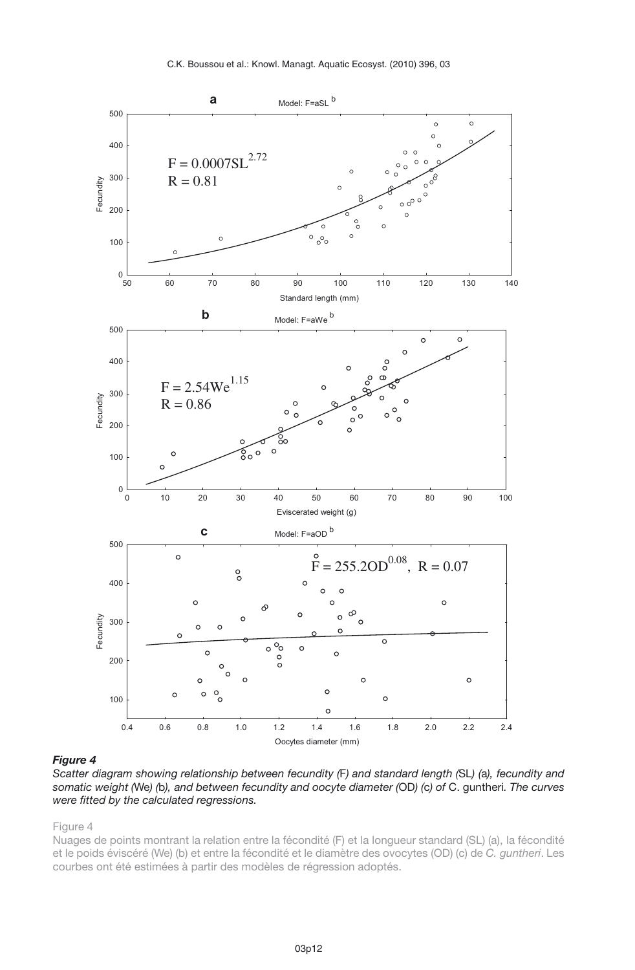

<span id="page-11-0"></span>*Scatter diagram showing relationship between fecundity (*F*) and standard length (*SL*) (*a*), fecundity and somatic weight (*We*) (*b*), and between fecundity and oocyte diameter (*OD*) (*c*) of* C. guntheri*. The curves were fitted by the calculated regressions.*

Figure 4

Nuages de points montrant la relation entre la fécondité (F) et la longueur standard (SL) (a), la fécondité et le poids éviscéré (We) (b) et entre la fécondité et le diamètre des ovocytes (OD) (c) de *C. guntheri*. Les courbes ont été estimées à partir des modèles de régression adoptés.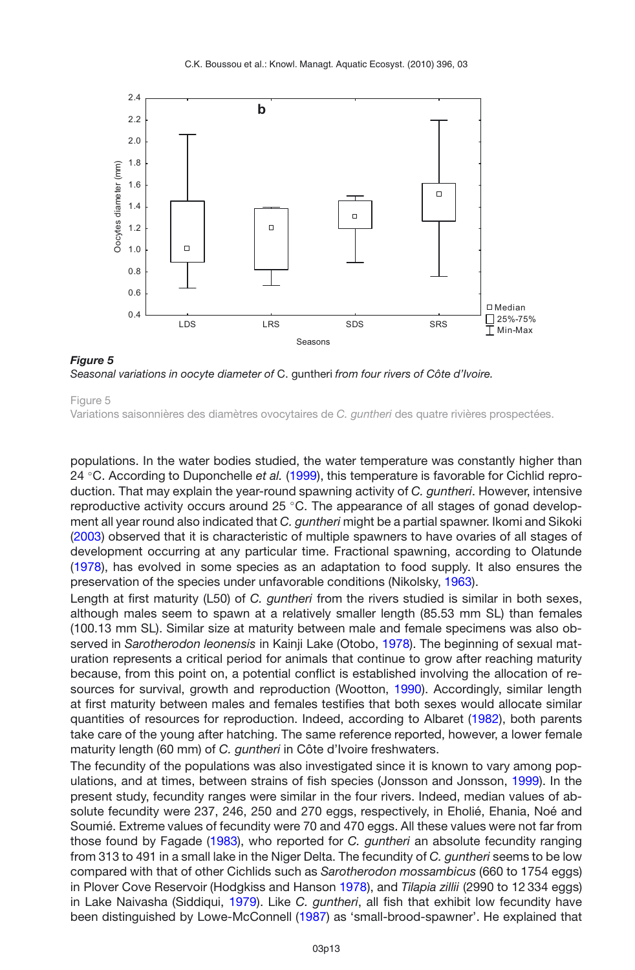<span id="page-12-0"></span>

*Figure 5 Seasonal variations in oocyte diameter of* C. guntheri *from four rivers of Côte d'Ivoire.*

Variations saisonnières des diamètres ovocytaires de *C. guntheri* des quatre rivières prospectées.

populations. In the water bodies studied, the water temperature was constantly higher than 24 ◦C. According to Duponchelle *et al.* [\(1999\)](#page-14-13), this temperature is favorable for Cichlid reproduction. That may explain the year-round spawning activity of *C. guntheri*. However, intensive reproductive activity occurs around 25 ◦C. The appearance of all stages of gonad development all year round also indicated that *C. guntheri* might be a partial spawner. Ikomi and Sikoki [\(2003](#page-14-14)) observed that it is characteristic of multiple spawners to have ovaries of all stages of development occurring at any particular time. Fractional spawning, according to Olatunde [\(1978](#page-14-15)), has evolved in some species as an adaptation to food supply. It also ensures the preservation of the species under unfavorable conditions (Nikolsky, [1963](#page-14-16)).

Length at first maturity (L50) of *C. guntheri* from the rivers studied is similar in both sexes, although males seem to spawn at a relatively smaller length (85.53 mm SL) than females (100.13 mm SL). Similar size at maturity between male and female specimens was also observed in *Sarotherodon leonensis* in Kainji Lake (Otobo, [1978](#page-14-17)). The beginning of sexual maturation represents a critical period for animals that continue to grow after reaching maturity because, from this point on, a potential conflict is established involving the allocation of resources for survival, growth and reproduction (Wootton, [1990\)](#page-15-12). Accordingly, similar length at first maturity between males and females testifies that both sexes would allocate similar quantities of resources for reproduction. Indeed, according to Albaret [\(1982](#page-13-7)), both parents take care of the young after hatching. The same reference reported, however, a lower female maturity length (60 mm) of *C. guntheri* in Côte d'Ivoire freshwaters.

The fecundity of the populations was also investigated since it is known to vary among populations, and at times, between strains of fish species (Jonsson and Jonsson, [1999](#page-14-18)). In the present study, fecundity ranges were similar in the four rivers. Indeed, median values of absolute fecundity were 237, 246, 250 and 270 eggs, respectively, in Eholié, Ehania, Noé and Soumié. Extreme values of fecundity were 70 and 470 eggs. All these values were not far from those found by Fagade [\(1983\)](#page-14-19), who reported for *C. guntheri* an absolute fecundity ranging from 313 to 491 in a small lake in the Niger Delta. The fecundity of *C. guntheri* seems to be low compared with that of other Cichlids such as *Sarotherodon mossambicus* (660 to 1754 eggs) in Plover Cove Reservoir (Hodgkiss and Hanson [1978\)](#page-14-20), and *Tilapia zillii* (2990 to 12 334 eggs) in Lake Naivasha (Siddiqui, [1979](#page-15-13)). Like *C. guntheri*, all fish that exhibit low fecundity have been distinguished by Lowe-McConnell [\(1987](#page-14-21)) as 'small-brood-spawner'. He explained that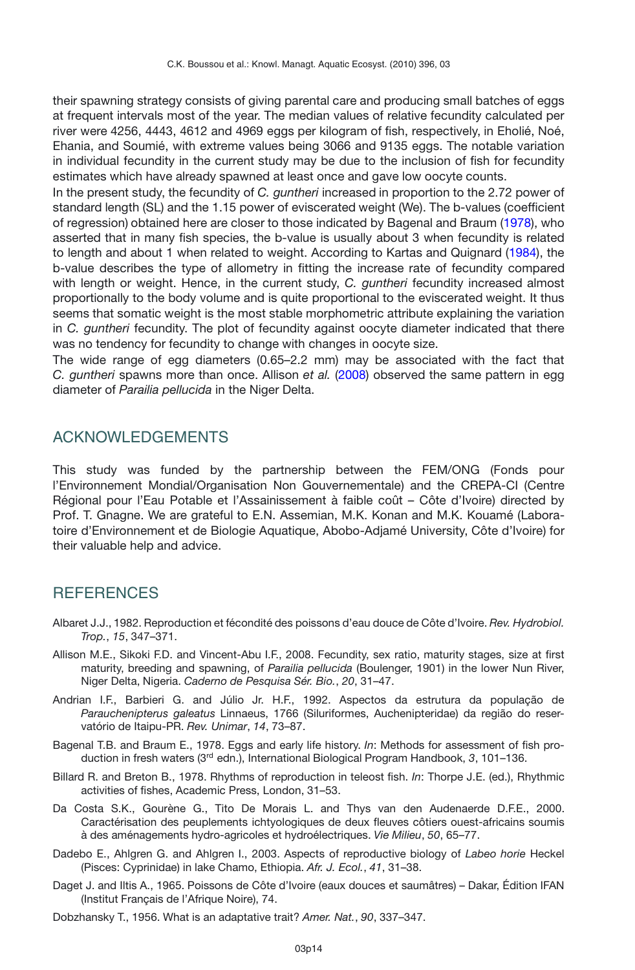their spawning strategy consists of giving parental care and producing small batches of eggs at frequent intervals most of the year. The median values of relative fecundity calculated per river were 4256, 4443, 4612 and 4969 eggs per kilogram of fish, respectively, in Eholié, Noé, Ehania, and Soumié, with extreme values being 3066 and 9135 eggs. The notable variation in individual fecundity in the current study may be due to the inclusion of fish for fecundity estimates which have already spawned at least once and gave low oocyte counts.

In the present study, the fecundity of *C. guntheri* increased in proportion to the 2.72 power of standard length (SL) and the 1.15 power of eviscerated weight (We). The b-values (coefficient of regression) obtained here are closer to those indicated by Bagenal and Braum [\(1978\)](#page-13-8), who asserted that in many fish species, the b-value is usually about 3 when fecundity is related to length and about 1 when related to weight. According to Kartas and Quignard [\(1984](#page-14-22)), the b-value describes the type of allometry in fitting the increase rate of fecundity compared with length or weight. Hence, in the current study, *C. guntheri* fecundity increased almost proportionally to the body volume and is quite proportional to the eviscerated weight. It thus seems that somatic weight is the most stable morphometric attribute explaining the variation in *C. guntheri* fecundity. The plot of fecundity against oocyte diameter indicated that there was no tendency for fecundity to change with changes in oocyte size.

The wide range of egg diameters (0.65–2.2 mm) may be associated with the fact that *C. guntheri* spawns more than once. Allison *et al.* [\(2008\)](#page-13-5) observed the same pattern in egg diameter of *Parailia pellucida* in the Niger Delta.

## ACKNOWLEDGEMENTS

This study was funded by the partnership between the FEM/ONG (Fonds pour l'Environnement Mondial/Organisation Non Gouvernementale) and the CREPA-CI (Centre Régional pour l'Eau Potable et l'Assainissement à faible coût – Côte d'Ivoire) directed by Prof. T. Gnagne. We are grateful to E.N. Assemian, M.K. Konan and M.K. Kouamé (Laboratoire d'Environnement et de Biologie Aquatique, Abobo-Adjamé University, Côte d'Ivoire) for their valuable help and advice.

## **REFERENCES**

- <span id="page-13-7"></span>Albaret J.J., 1982. Reproduction et fécondité des poissons d'eau douce de Côte d'Ivoire. *Rev. Hydrobiol. Trop.*, *15*, 347–371.
- <span id="page-13-5"></span>Allison M.E., Sikoki F.D. and Vincent-Abu I.F., 2008. Fecundity, sex ratio, maturity stages, size at first maturity, breeding and spawning, of *Parailia pellucida* (Boulenger, 1901) in the lower Nun River, Niger Delta, Nigeria. *Caderno de Pesquisa Sér. Bio.*, *20*, 31–47.
- <span id="page-13-4"></span>Andrian I.F., Barbieri G. and Júlio Jr. H.F., 1992. Aspectos da estrutura da população de *Parauchenipterus galeatus* Linnaeus, 1766 (Siluriformes, Auchenipteridae) da região do reservatório de Itaipu-PR. *Rev. Unimar*, *14*, 73–87.
- <span id="page-13-8"></span>Bagenal T.B. and Braum E., 1978. Eggs and early life history. *In*: Methods for assessment of fish production in fresh waters (3rd edn.), International Biological Program Handbook, *3*, 101–136.
- <span id="page-13-6"></span>Billard R. and Breton B., 1978. Rhythms of reproduction in teleost fish. *In*: Thorpe J.E. (ed.), Rhythmic activities of fishes, Academic Press, London, 31–53.
- <span id="page-13-1"></span>Da Costa S.K., Gourène G., Tito De Morais L. and Thys van den Audenaerde D.F.E., 2000. Caractérisation des peuplements ichtyologiques de deux fleuves côtiers ouest-africains soumis à des aménagements hydro-agricoles et hydroélectriques. *Vie Milieu*, *50*, 65–77.
- <span id="page-13-3"></span>Dadebo E., Ahlgren G. and Ahlgren I., 2003. Aspects of reproductive biology of *Labeo horie* Heckel (Pisces: Cyprinidae) in lake Chamo, Ethiopia. *Afr. J. Ecol.*, *41*, 31–38.
- <span id="page-13-2"></span>Daget J. and Iltis A., 1965. Poissons de Côte d'Ivoire (eaux douces et saumâtres) – Dakar, Édition IFAN (Institut Français de l'Afrique Noire), 74.
- <span id="page-13-0"></span>Dobzhansky T., 1956. What is an adaptative trait? *Amer. Nat.*, *90*, 337–347.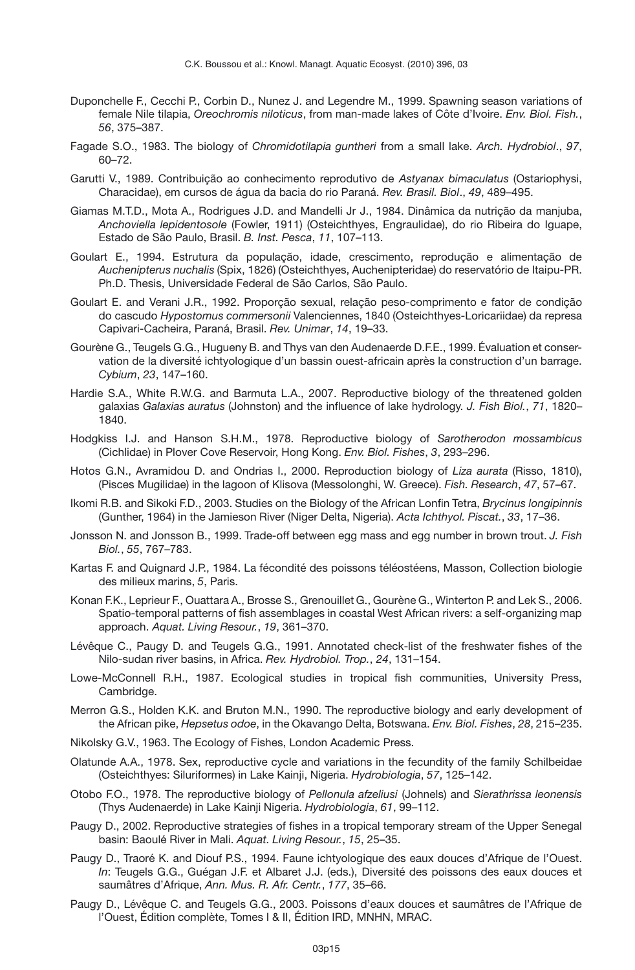- <span id="page-14-13"></span>Duponchelle F., Cecchi P., Corbin D., Nunez J. and Legendre M., 1999. Spawning season variations of female Nile tilapia, *Oreochromis niloticus*, from man-made lakes of Côte d'Ivoire. *Env. Biol. Fish.*, *56*, 375–387.
- <span id="page-14-19"></span>Fagade S.O., 1983. The biology of *Chromidotilapia guntheri* from a small lake. *Arch. Hydrobiol*., *97*, 60–72.
- <span id="page-14-9"></span>Garutti V., 1989. Contribuição ao conhecimento reprodutivo de *Astyanax bimaculatus* (Ostariophysi, Characidae), em cursos de água da bacia do rio Paraná. *Rev. Brasil. Biol*., *49*, 489–495.
- <span id="page-14-7"></span>Giamas M.T.D., Mota A., Rodrigues J.D. and Mandelli Jr J., 1984. Dinâmica da nutrição da manjuba, *Anchoviella lepidentosole* (Fowler, 1911) (Osteichthyes, Engraulidae), do rio Ribeira do Iguape, Estado de São Paulo, Brasil. *B. Inst. Pesca*, *11*, 107–113.
- <span id="page-14-10"></span>Goulart E., 1994. Estrutura da população, idade, crescimento, reprodução e alimentação de *Auchenipterus nuchalis* (Spix, 1826) (Osteichthyes, Auchenipteridae) do reservatório de Itaipu-PR. Ph.D. Thesis, Universidade Federal de São Carlos, São Paulo.
- <span id="page-14-8"></span>Goulart E. and Verani J.R., 1992. Proporção sexual, relação peso-comprimento e fator de condição do cascudo *Hypostomus commersonii* Valenciennes, 1840 (Osteichthyes-Loricariidae) da represa Capivari-Cacheira, Paraná, Brasil. *Rev. Unimar*, *14*, 19–33.
- <span id="page-14-4"></span>Gourène G., Teugels G.G., Hugueny B. and Thys van den Audenaerde D.F.E., 1999. Évaluation et conservation de la diversité ichtyologique d'un bassin ouest-africain après la construction d'un barrage. *Cybium*, *23*, 147–160.
- <span id="page-14-12"></span>Hardie S.A., White R.W.G. and Barmuta L.A., 2007. Reproductive biology of the threatened golden galaxias *Galaxias auratus* (Johnston) and the influence of lake hydrology. *J. Fish Biol.*, *71*, 1820– 1840.
- <span id="page-14-20"></span>Hodgkiss I.J. and Hanson S.H.M., 1978. Reproductive biology of *Sarotherodon mossambicus* (Cichlidae) in Plover Cove Reservoir, Hong Kong. *Env. Biol. Fishes*, *3*, 293–296.
- <span id="page-14-11"></span>Hotos G.N., Avramidou D. and Ondrias I., 2000. Reproduction biology of *Liza aurata* (Risso, 1810), (Pisces Mugilidae) in the lagoon of Klisova (Messolonghi, W. Greece). *Fish. Research*, *47*, 57–67.
- <span id="page-14-14"></span>Ikomi R.B. and Sikoki F.D., 2003. Studies on the Biology of the African Lonfin Tetra, *Brycinus longipinnis* (Gunther, 1964) in the Jamieson River (Niger Delta, Nigeria). *Acta Ichthyol. Piscat.*, *33*, 17–36.
- <span id="page-14-18"></span>Jonsson N. and Jonsson B., 1999. Trade-off between egg mass and egg number in brown trout. *J. Fish Biol.*, *55*, 767–783.
- <span id="page-14-22"></span>Kartas F. and Quignard J.P., 1984. La fécondité des poissons téléostéens, Masson, Collection biologie des milieux marins, *5*, Paris.
- <span id="page-14-3"></span>Konan F.K., Leprieur F., Ouattara A., Brosse S., Grenouillet G., Gourène G., Winterton P. and Lek S., 2006. Spatio-temporal patterns of fish assemblages in coastal West African rivers: a self-organizing map approach. *Aquat. Living Resour.*, *19*, 361–370.
- <span id="page-14-1"></span>Lévêque C., Paugy D. and Teugels G.G., 1991. Annotated check-list of the freshwater fishes of the Nilo-sudan river basins, in Africa. *Rev. Hydrobiol. Trop.*, *24*, 131–154.
- <span id="page-14-21"></span>Lowe-McConnell R.H., 1987. Ecological studies in tropical fish communities, University Press, Cambridge.
- <span id="page-14-5"></span>Merron G.S., Holden K.K. and Bruton M.N., 1990. The reproductive biology and early development of the African pike, *Hepsetus odoe*, in the Okavango Delta, Botswana. *Env. Biol. Fishes*, *28*, 215–235.
- <span id="page-14-16"></span>Nikolsky G.V., 1963. The Ecology of Fishes, London Academic Press.
- <span id="page-14-15"></span>Olatunde A.A., 1978. Sex, reproductive cycle and variations in the fecundity of the family Schilbeidae (Osteichthyes: Siluriformes) in Lake Kainji, Nigeria. *Hydrobiologia*, *57*, 125–142.
- <span id="page-14-17"></span>Otobo F.O., 1978. The reproductive biology of *Pellonula afzeliusi* (Johnels) and *Sierathrissa leonensis* (Thys Audenaerde) in Lake Kainji Nigeria. *Hydrobiologia*, *61*, 99–112.
- <span id="page-14-6"></span>Paugy D., 2002. Reproductive strategies of fishes in a tropical temporary stream of the Upper Senegal basin: Baoulé River in Mali. *Aquat. Living Resour.*, *15*, 25–35.
- <span id="page-14-2"></span>Paugy D., Traoré K. and Diouf P.S., 1994. Faune ichtyologique des eaux douces d'Afrique de l'Ouest. *In*: Teugels G.G., Guégan J.F. et Albaret J.J. (eds.), Diversité des poissons des eaux douces et saumâtres d'Afrique, *Ann. Mus. R. Afr. Centr.*, *177*, 35–66.
- <span id="page-14-0"></span>Paugy D., Lévêque C. and Teugels G.G., 2003. Poissons d'eaux douces et saumâtres de l'Afrique de l'Ouest, Édition complète, Tomes I & II, Édition IRD, MNHN, MRAC.